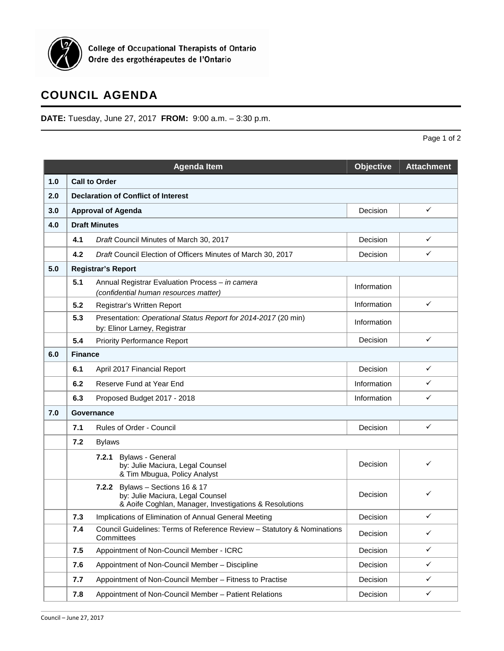

## **COUNCIL AGENDA**

**DATE:** Tuesday, June 27, 2017 **FROM:** 9:00 a.m. – 3:30 p.m.

|     |                                            | <b>Agenda Item</b>                                                                                                            | Objective   | <b>Attachment</b> |  |  |  |  |
|-----|--------------------------------------------|-------------------------------------------------------------------------------------------------------------------------------|-------------|-------------------|--|--|--|--|
| 1.0 | <b>Call to Order</b>                       |                                                                                                                               |             |                   |  |  |  |  |
| 2.0 | <b>Declaration of Conflict of Interest</b> |                                                                                                                               |             |                   |  |  |  |  |
| 3.0 |                                            | <b>Approval of Agenda</b>                                                                                                     | Decision    | $\checkmark$      |  |  |  |  |
| 4.0 |                                            | <b>Draft Minutes</b>                                                                                                          |             |                   |  |  |  |  |
|     | 4.1                                        | Draft Council Minutes of March 30, 2017                                                                                       | Decision    | $\checkmark$      |  |  |  |  |
|     | 4.2                                        | Draft Council Election of Officers Minutes of March 30, 2017                                                                  | Decision    | $\checkmark$      |  |  |  |  |
| 5.0 |                                            | <b>Registrar's Report</b>                                                                                                     |             |                   |  |  |  |  |
|     | 5.1                                        | Annual Registrar Evaluation Process - in camera<br>(confidential human resources matter)                                      | Information |                   |  |  |  |  |
|     | 5.2                                        | Registrar's Written Report                                                                                                    | Information | $\checkmark$      |  |  |  |  |
|     | 5.3                                        | Presentation: Operational Status Report for 2014-2017 (20 min)<br>by: Elinor Larney, Registrar                                | Information |                   |  |  |  |  |
|     | 5.4                                        | <b>Priority Performance Report</b>                                                                                            | Decision    | $\checkmark$      |  |  |  |  |
| 6.0 | <b>Finance</b>                             |                                                                                                                               |             |                   |  |  |  |  |
|     | 6.1                                        | April 2017 Financial Report                                                                                                   | Decision    | ✓                 |  |  |  |  |
|     | 6.2                                        | Reserve Fund at Year End                                                                                                      | Information | ✓                 |  |  |  |  |
|     | 6.3                                        | Proposed Budget 2017 - 2018                                                                                                   | Information | ✓                 |  |  |  |  |
| 7.0 |                                            | Governance                                                                                                                    |             |                   |  |  |  |  |
|     | 7.1                                        | Rules of Order - Council                                                                                                      | Decision    | $\checkmark$      |  |  |  |  |
|     | 7.2                                        | <b>Bylaws</b>                                                                                                                 |             |                   |  |  |  |  |
|     |                                            | <b>Bylaws - General</b><br>7.2.1<br>by: Julie Maciura, Legal Counsel<br>& Tim Mbugua, Policy Analyst                          | Decision    | ✓                 |  |  |  |  |
|     |                                            | 7.2.2 Bylaws - Sections 16 & 17<br>by: Julie Maciura, Legal Counsel<br>& Aoife Coghlan, Manager, Investigations & Resolutions | Decision    | ✓                 |  |  |  |  |
|     | 7.3                                        | Implications of Elimination of Annual General Meeting                                                                         | Decision    | ✓                 |  |  |  |  |
|     | 7.4                                        | Council Guidelines: Terms of Reference Review - Statutory & Nominations<br>Committees                                         | Decision    | $\checkmark$      |  |  |  |  |
|     | 7.5                                        | Appointment of Non-Council Member - ICRC                                                                                      | Decision    | $\checkmark$      |  |  |  |  |
|     | 7.6                                        | Appointment of Non-Council Member - Discipline                                                                                | Decision    | ✓                 |  |  |  |  |
|     | 7.7                                        | Appointment of Non-Council Member - Fitness to Practise                                                                       | Decision    | $\checkmark$      |  |  |  |  |
|     | 7.8                                        | Appointment of Non-Council Member - Patient Relations                                                                         | Decision    | $\checkmark$      |  |  |  |  |